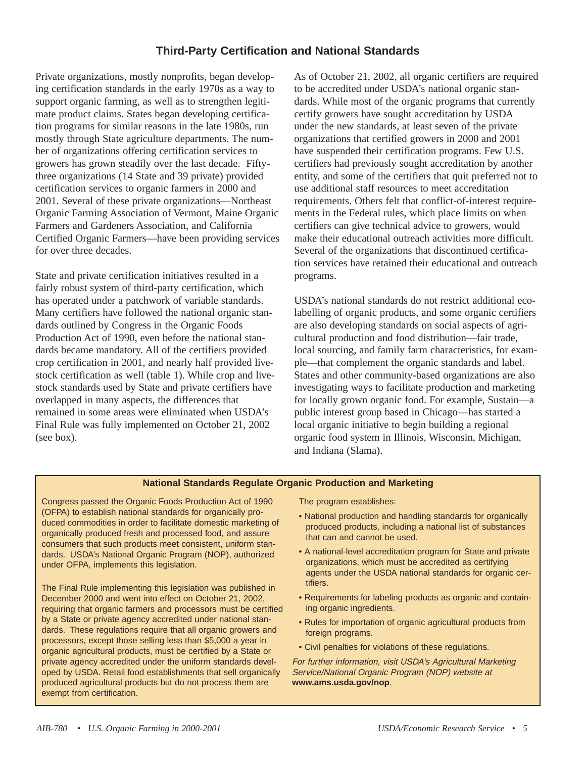## **Third-Party Certification and National Standards**

Private organizations, mostly nonprofits, began developing certification standards in the early 1970s as a way to support organic farming, as well as to strengthen legitimate product claims. States began developing certification programs for similar reasons in the late 1980s, run mostly through State agriculture departments. The number of organizations offering certification services to growers has grown steadily over the last decade. Fiftythree organizations (14 State and 39 private) provided certification services to organic farmers in 2000 and 2001. Several of these private organizations—Northeast Organic Farming Association of Vermont, Maine Organic Farmers and Gardeners Association, and California Certified Organic Farmers—have been providing services for over three decades.

State and private certification initiatives resulted in a fairly robust system of third-party certification, which has operated under a patchwork of variable standards. Many certifiers have followed the national organic standards outlined by Congress in the Organic Foods Production Act of 1990, even before the national standards became mandatory. All of the certifiers provided crop certification in 2001, and nearly half provided livestock certification as well (table 1). While crop and livestock standards used by State and private certifiers have overlapped in many aspects, the differences that remained in some areas were eliminated when USDA's Final Rule was fully implemented on October 21, 2002 (see box).

As of October 21, 2002, all organic certifiers are required to be accredited under USDA's national organic standards. While most of the organic programs that currently certify growers have sought accreditation by USDA under the new standards, at least seven of the private organizations that certified growers in 2000 and 2001 have suspended their certification programs. Few U.S. certifiers had previously sought accreditation by another entity, and some of the certifiers that quit preferred not to use additional staff resources to meet accreditation requirements. Others felt that conflict-of-interest requirements in the Federal rules, which place limits on when certifiers can give technical advice to growers, would make their educational outreach activities more difficult. Several of the organizations that discontinued certification services have retained their educational and outreach programs.

USDA's national standards do not restrict additional ecolabelling of organic products, and some organic certifiers are also developing standards on social aspects of agricultural production and food distribution—fair trade, local sourcing, and family farm characteristics, for example—that complement the organic standards and label. States and other community-based organizations are also investigating ways to facilitate production and marketing for locally grown organic food. For example, Sustain—a public interest group based in Chicago—has started a local organic initiative to begin building a regional organic food system in Illinois, Wisconsin, Michigan, and Indiana (Slama).

## **National Standards Regulate Organic Production and Marketing**

Congress passed the Organic Foods Production Act of 1990 (OFPA) to establish national standards for organically produced commodities in order to facilitate domestic marketing of organically produced fresh and processed food, and assure consumers that such products meet consistent, uniform standards. USDA's National Organic Program (NOP), authorized under OFPA, implements this legislation.

The Final Rule implementing this legislation was published in December 2000 and went into effect on October 21, 2002, requiring that organic farmers and processors must be certified by a State or private agency accredited under national standards. These regulations require that all organic growers and processors, except those selling less than \$5,000 a year in organic agricultural products, must be certified by a State or private agency accredited under the uniform standards developed by USDA. Retail food establishments that sell organically produced agricultural products but do not process them are exempt from certification.

The program establishes:

- National production and handling standards for organically produced products, including a national list of substances that can and cannot be used.
- A national-level accreditation program for State and private organizations, which must be accredited as certifying agents under the USDA national standards for organic certifiers.
- Requirements for labeling products as organic and containing organic ingredients.
- Rules for importation of organic agricultural products from foreign programs.
- Civil penalties for violations of these regulations.

For further information, visit USDA's Agricultural Marketing Service/National Organic Program (NOP) website at **www.ams.usda.gov/nop**.